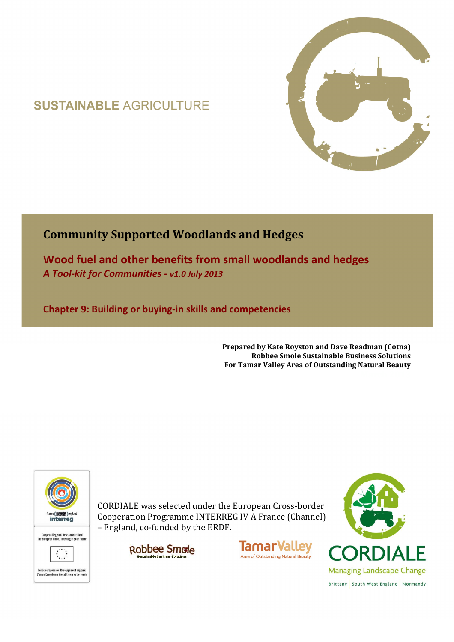# **SUSTAINABLE AGRICULTURE**



## **Community Supported Woodlands and Hedges**

**Wood fuel and other benefits from small woodlands and hedges**  *A Tool-kit for Communities - v1.0 July 2013*

**Chapter 9: Building or buying-in skills and competencies** 

**Prepared by Kate Royston and Dave Readman (Cotna) Robbee Smole Sustainable Business Solutions For Tamar Valley Area of Outstanding Natural Beauty**



CORDIALE was selected under the European Cross-border Cooperation Programme INTERREG IV A France (Channel) – England, co-funded by the ERDF.